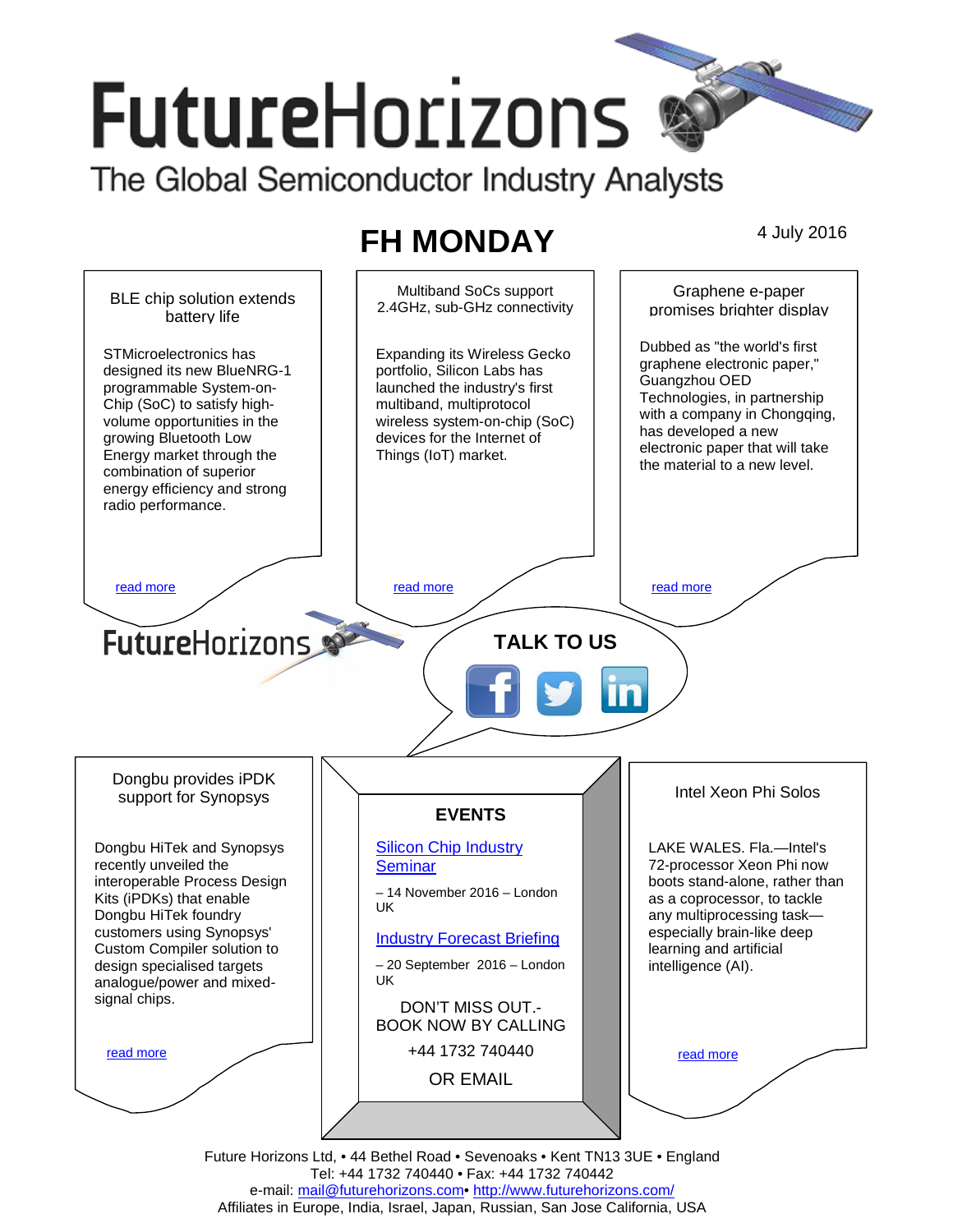# **FutureHorizons**

The Global Semiconductor Industry Analysts

# **FH MONDAY** 4 July 2016



Tel: +44 1732 740440 • Fax: +44 1732 740442 e-mail: mail@futurehorizons.com• http://www.futurehorizons.com/ Affiliates in Europe, India, Israel, Japan, Russian, San Jose California, USA